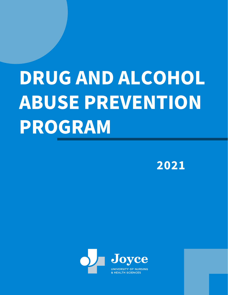# **DRUG AND ALCOHOL ABUSE PREVENTION PROGRAM**

**2021**

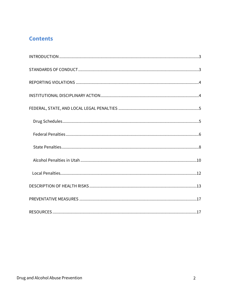# **Contents**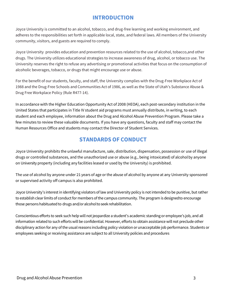# **INTRODUCTION**

<span id="page-2-1"></span><span id="page-2-0"></span>Joyce University is committed to an alcohol, tobacco, and drug-free learning and working environment, and adheres to the responsibilities set forth in applicable local, state, and federal laws. All members of the University community, visitors, and guests are required to comply.

Joyce University provides education and prevention resources related to the use of alcohol, tobacco,and other drugs. The University utilizes educational strategies to increase awareness of drug, alcohol, or tobacco use. The University reserves the right to refuse any advertising or promotional activities that focus on the consumption of alcoholic beverages, tobacco, or drugs that might encourage use or abuse.

For the benefit of our students, faculty, and staff, the University complies with the Drug-Free Workplace Act of 1988 and the Drug-Free Schools and Communities Act of 1986, as well as the State of Utah's Substance Abuse & Drug Free Workplace Policy (Rule R477-14).

In accordance with the Higher Education Opportunity Act of 2008 (HEOA), each post-secondary institution in the United States that participates in Title IV student aid programs must annually distribute, in writing, to each student and each employee, information about the Drug and Alcohol Abuse Prevention Program. Please take a few minutes to review these valuable documents. If you have any questions, faculty and staff may contact the Human Resources Office and students may contact the Director of Student Services.

# **STANDARDS OF CONDUCT**

Joyce University prohibits the unlawful manufacture, sale, distribution, dispensation, possession or use of illegal drugs or controlled substances, and the unauthorized use or abuse (e.g., being intoxicated) of alcoholby anyone on University property (including any facilities leased or used by the University) is prohibited.

The use of alcohol by anyone under 21 years of age or the abuse of alcohol by anyone at any University sponsored or supervised activity off campus is also prohibited.

Joyce University's interest in identifying violators of law and University policy is not intended to be punitive, but rather to establish clear limits of conduct for members of the campus community. The program is designedto encourage those persons habituated to drugs and/or alcoholto seek rehabilitation.

Conscientious efforts to seek such help will not jeopardize a student's academic standing or employee's job, and all information related to such efforts will be confidential. However, efforts to obtain assistance will not preclude other disciplinary action for any of the usual reasons including policy violation or unacceptable job performance. Students or employees seeking or receiving assistance are subject to all University policies and procedures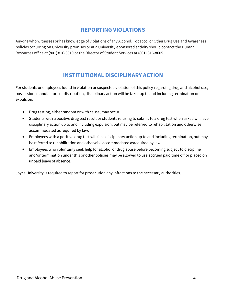# **REPORTING VIOLATIONS**

<span id="page-3-1"></span><span id="page-3-0"></span>Anyone who witnesses or has knowledge of violations of any Alcohol, Tobacco, or Other Drug Use and Awareness policies occurring on University premises or at a University-sponsored activity should contact the Human Resources office at (801) 816-8610 or the Director of Student Services at (801) 816-8605.

# **INSTITUTIONAL DISCIPLINARY ACTION**

For students or employees found in violation or suspected violation of this policy regarding drug and alcohol use, possession, manufacture or distribution, disciplinary action will be takenup to and including termination or expulsion.

- Drug testing, either random or with cause, may occur.
- Students with a positive drug test result or students refusing to submit to a drug test when asked will face disciplinary action up to and including expulsion, but may be referred to rehabilitation and otherwise accommodated as required by law.
- Employees with a positive drug test will face disciplinary action up to and including termination, but may be referred to rehabilitation and otherwise accommodated asrequired by law.
- Employees who voluntarily seek help for alcohol or drug abuse before becoming subject to discipline and/or termination under this or other policies may be allowed to use accrued paid time off or placed on unpaid leave of absence.

Joyce University is required to report for prosecution any infractions to the necessary authorities.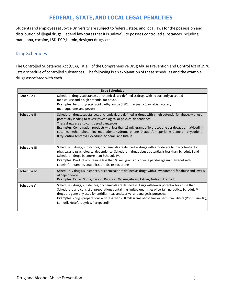# **FEDERAL, STATE, AND LOCAL LEGAL PENALTIES**

<span id="page-4-0"></span>Students andemployees at Joyce University are subject to federal, state, and local laws for the possession and distribution of illegal drugs. Federal law states that it is unlawful to possess controlled substances including marijuana, cocaine, LSD, PCP, heroin, designer drugs, etc.

#### <span id="page-4-1"></span>Drug Schedules

The Controlled Substances Act (CSA), Title II of the Comprehensive Drug Abuse Prevention and Control Act of 1970 lists a schedule of controlled substances. The following is an explanation of these schedules and the example drugs associated with each.

| <b>Drug Schedules</b> |                                                                                                                                                                                                                                                                                                                                                                                                                                                                                                       |  |  |
|-----------------------|-------------------------------------------------------------------------------------------------------------------------------------------------------------------------------------------------------------------------------------------------------------------------------------------------------------------------------------------------------------------------------------------------------------------------------------------------------------------------------------------------------|--|--|
| <b>Schedule I</b>     | Schedule I drugs, substances, or chemicals are defined as drugs with no currently accepted<br>medical use and a high potential for abuse.<br>Examples: heroin, lysergic acid diethylamide (LSD), marijuana (cannabis), ecstasy,<br>methaqualone, and peyote                                                                                                                                                                                                                                           |  |  |
| <b>Schedule II</b>    | Schedule II drugs, substances, or chemicals are defined as drugs with a high potential for abuse, with use<br>potentially leading to severe psychological or physical dependence.<br>These drugs are also considered dangerous.<br>Examples: Combination products with less than 15 milligrams of hydrocodone per dosage unit (Vicodin),<br>cocaine, methamphetamine, methadone, hydromorphone (Dilaudid), meperidine (Demerol), oxycodone<br>(OxyContin), fentanyl, Dexedrine, Adderall, and Ritalin |  |  |
| <b>Schedule III</b>   | Schedule III drugs, substances, or chemicals are defined as drugs with a moderate to low potential for<br>physical and psychological dependence. Schedule III drugs abuse potential is less than Schedule I and<br>Schedule II drugs but more than Schedule IV.<br><b>Examples:</b> Products containing less than 90 milligrams of codeine per dosage unit (Tylenol with<br>codeine), ketamine, anabolic steroids, testosterone                                                                       |  |  |
| <b>Schedule IV</b>    | Schedule IV drugs, substances, or chemicals are defined as drugs with a low potential for abuse and low risk<br>of dependence.<br>Examples: Xanax, Soma, Darvon, Darvocet, Valium, Ativan, Talwin, Ambien, Tramado                                                                                                                                                                                                                                                                                    |  |  |
| <b>Schedule V</b>     | Schedule V drugs, substances, or chemicals are defined as drugs with lower potential for abuse than<br>Schedule IV and consist of preparations containing limited quantities of certain narcotics. Schedule V<br>drugs are generally used for antidiarrheal, antitussive, andanalgesic purposes.<br>Examples: cough preparations with less than 200 milligrams of codeine or per 100 milliliters (Robitussin AC),<br>Lomotil, Motofen, Lyrica, Parepectolin                                           |  |  |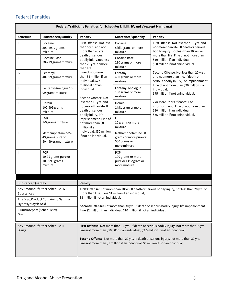## <span id="page-5-0"></span>Federal Penalties

| Federal Trafficking Penalties for Schedules I, II, III, IV, and V (except Marijuana)                                                                                                                                                                                                                                                                                                                             |                                                               |                                                                                                                                                                                                                |                                                                             |                                                                                                                                                                                                                                                                                                                                                                                                                                                                                                                                                                                         |                                   |
|------------------------------------------------------------------------------------------------------------------------------------------------------------------------------------------------------------------------------------------------------------------------------------------------------------------------------------------------------------------------------------------------------------------|---------------------------------------------------------------|----------------------------------------------------------------------------------------------------------------------------------------------------------------------------------------------------------------|-----------------------------------------------------------------------------|-----------------------------------------------------------------------------------------------------------------------------------------------------------------------------------------------------------------------------------------------------------------------------------------------------------------------------------------------------------------------------------------------------------------------------------------------------------------------------------------------------------------------------------------------------------------------------------------|-----------------------------------|
| <b>Schedule</b>                                                                                                                                                                                                                                                                                                                                                                                                  | Substance/Quantity                                            | <b>Penalty</b>                                                                                                                                                                                                 | Substance/Quantity                                                          | Penalty                                                                                                                                                                                                                                                                                                                                                                                                                                                                                                                                                                                 |                                   |
| $\mathbf{H}$                                                                                                                                                                                                                                                                                                                                                                                                     | Cocaine<br>500-4999 grams<br>mixture                          | First Offense: Not less<br>than 5 yrs. and not<br>more than 40 yrs. If<br>death or serious<br>bodily injury, not less<br>than 20 yrs. or more<br>than life.                                                    | Cocaine<br>5 kilograms or more<br>mixture                                   | First Offense: Not less than 10 yrs. and<br>not more than life. If death or serious<br>bodily injury, not less than 20 yrs. or<br>more than life. Fine of not more than<br>\$10 million if an individual,<br>\$50 million if not anindividual.<br>Second Offense: Not less than 20 yrs.,<br>and not more than life. If death or<br>serious bodily injury, life imprisonment.<br>Fine of not more than \$20 million if an<br>individual,<br>\$75 million if not anindividual.<br>2 or More Prior Offenses: Life<br>imprisonment. Fine of not more than<br>\$20 million if an individual, |                                   |
| $\rm H$                                                                                                                                                                                                                                                                                                                                                                                                          | Cocaine Base<br>28-279 grams mixture                          |                                                                                                                                                                                                                | <b>Cocaine Base</b><br>280 grams or more<br>mixture                         |                                                                                                                                                                                                                                                                                                                                                                                                                                                                                                                                                                                         |                                   |
| IV                                                                                                                                                                                                                                                                                                                                                                                                               | Fentanyl<br>40-399 grams mixture                              | Fine of not more<br>than \$5 million if an<br>individual, \$25                                                                                                                                                 | Fentanyl<br>400 grams or more<br>mixture                                    |                                                                                                                                                                                                                                                                                                                                                                                                                                                                                                                                                                                         |                                   |
| T                                                                                                                                                                                                                                                                                                                                                                                                                | Fentanyl Analogue 10-<br>99 grams mixture                     | million if not an<br>individual.<br>Second Offense: Not                                                                                                                                                        | Fentanyl Analogue<br>100 grams or more<br>mixture                           |                                                                                                                                                                                                                                                                                                                                                                                                                                                                                                                                                                                         |                                   |
| T                                                                                                                                                                                                                                                                                                                                                                                                                | Heroin<br>100-999 grams<br>mixture                            | less than 10 yrs. and<br>not more than life. If<br>death or serious<br>bodily injury, life<br>imprisonment. Fine of<br>not more than \$8<br>million if an<br>individual, \$50 million<br>if not an individual. | Heroin<br>1 kilogram or more<br>mixture                                     |                                                                                                                                                                                                                                                                                                                                                                                                                                                                                                                                                                                         |                                   |
| T                                                                                                                                                                                                                                                                                                                                                                                                                | <b>LSD</b><br>1-9 grams mixture                               |                                                                                                                                                                                                                |                                                                             | <b>LSD</b><br>10 grams or more<br>mixture                                                                                                                                                                                                                                                                                                                                                                                                                                                                                                                                               | \$75 million if not anindividual. |
| $\mathbf{II}$                                                                                                                                                                                                                                                                                                                                                                                                    | Methamphetamine5-<br>49 grams pure or<br>50-499 grams mixture |                                                                                                                                                                                                                | Methamphetamine 50<br>grams or more pure or<br>500 grams or<br>more mixture |                                                                                                                                                                                                                                                                                                                                                                                                                                                                                                                                                                                         |                                   |
| $\mathbf{H}$                                                                                                                                                                                                                                                                                                                                                                                                     | <b>PCP</b><br>10-99 grams pure or<br>100-999 grams<br>mixture |                                                                                                                                                                                                                | <b>PCP</b><br>100 grams or more<br>pure or 1 kilogram or<br>more mixture    |                                                                                                                                                                                                                                                                                                                                                                                                                                                                                                                                                                                         |                                   |
|                                                                                                                                                                                                                                                                                                                                                                                                                  |                                                               |                                                                                                                                                                                                                |                                                                             |                                                                                                                                                                                                                                                                                                                                                                                                                                                                                                                                                                                         |                                   |
| Substance/Quantity                                                                                                                                                                                                                                                                                                                                                                                               |                                                               | Penalty                                                                                                                                                                                                        |                                                                             |                                                                                                                                                                                                                                                                                                                                                                                                                                                                                                                                                                                         |                                   |
| Any Amount Of Other Schedule I & II<br>Substances<br>Any Drug Product Containing Gamma                                                                                                                                                                                                                                                                                                                           |                                                               | First Offense: Not more than 20 yrs. If death or serious bodily injury, not less than 20 yrs. or<br>more than Life. Fine \$1 million if an individual,<br>\$5 million if not an individual.                    |                                                                             |                                                                                                                                                                                                                                                                                                                                                                                                                                                                                                                                                                                         |                                   |
| Hydroxybutyric Acid<br>Flunitrazepam (Schedule IV)1<br>Gram                                                                                                                                                                                                                                                                                                                                                      |                                                               | Second Offense: Not more than 30 yrs. If death or serious bodily injury, life imprisonment.<br>Fine \$2 million if an individual, \$10 million if not an individual.                                           |                                                                             |                                                                                                                                                                                                                                                                                                                                                                                                                                                                                                                                                                                         |                                   |
| Any Amount Of Other Schedule III<br>First Offense: Not more than 10 yrs. If death or serious bodily injury, not more that 15 yrs.<br>Fine not more than \$500,000 if an individual, \$2.5 million if not an individual.<br>Drugs<br>Second Offense: Not more than 20 yrs. If death or serious injury, not more than 30 yrs.<br>Fine not more than \$1 million if an individual, \$5 million if not anindividual. |                                                               |                                                                                                                                                                                                                |                                                                             |                                                                                                                                                                                                                                                                                                                                                                                                                                                                                                                                                                                         |                                   |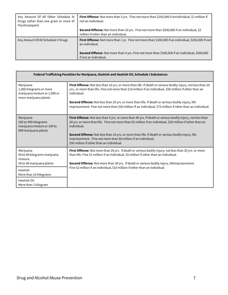| Any Amount Of All Other Schedule IV<br>Drugs (other than one gram or more of<br>Flunitrazepam) | First Offense: Not more than 5 yrs. Fine not more than \$250,000 if anindividual, \$1 million if<br>not an individual.                                                                                                                                |  |
|------------------------------------------------------------------------------------------------|-------------------------------------------------------------------------------------------------------------------------------------------------------------------------------------------------------------------------------------------------------|--|
|                                                                                                | Second Offense: Not more than 10 yrs. Fine not more than \$500,000 if an individual, \$2<br>million if other than an individual.                                                                                                                      |  |
| Any Amount Of All Schedule V Drugs                                                             | <b>First Offense:</b> Not more than 1 yr. Fine not more than \$100,000 if an individual, \$250,000 if not<br>an individual.<br>Second Offense: Not more than 4 yrs. Fine not more than \$200,000 if an individual, \$500,000<br>if not an individual. |  |

|                                                                                                | Federal Trafficking Penalties for Marijuana, Hashish and Hashish Oil, Schedule I Substances                                                                                                                                                                                                                                                                                                                                                                            |
|------------------------------------------------------------------------------------------------|------------------------------------------------------------------------------------------------------------------------------------------------------------------------------------------------------------------------------------------------------------------------------------------------------------------------------------------------------------------------------------------------------------------------------------------------------------------------|
| Marijuana<br>1,000 kilograms or more<br>marijuana mixture or 1,000 or<br>more marijuana plants | First Offense: Not less than 10 yrs. or more than life. If death or serious bodily injury, not less than 20<br>yrs., or more than life. Fine not more than \$10 million if an individual, \$50 million if other than an<br>individual.                                                                                                                                                                                                                                 |
|                                                                                                | <b>Second Offense:</b> Not less than 20 yrs. or more than life. If death or serious bodily injury, life<br>imprisonment. Fine not more than \$20 million if an individual, \$75 million if other than an individual.                                                                                                                                                                                                                                                   |
| Marijuana<br>100 to 999 kilograms<br>marijuana mixture or 100 to<br>999 marijuana plants       | <b>First Offense:</b> Not less than 5 yrs. or more than 40 yrs. If death or serious bodily injury, not less than<br>20 yrs. or more than life. Fine not more than \$5 million if an individual, \$25 million if other than an<br>individual.<br><b>Second Offense:</b> Not less than 10 yrs. or more than life. If death or serious bodily injury, life<br>imprisonment. Fine not more than \$8 million if an individual,<br>\$50 million if other than an individual. |
| Marijuana<br>50 to 99 kilograms marijuana<br>mixture,<br>50 to 99 marijuana plants             | First Offense: Not more than 20 yrs. If death or serious bodily injury, not less than 20 yrs. or more<br>than life. Fine \$1 million if an individual, \$5 million if other than an individual.<br>Second Offense: Not more than 30 yrs. If death or serious bodily injury, lifeimprisonment.                                                                                                                                                                          |
| Hashish<br>More than 10 kilograms                                                              | Fine \$2 million if an individual, \$10 million if other than an individual.                                                                                                                                                                                                                                                                                                                                                                                           |
| Hashish Oil<br>More than 1 kilogram                                                            |                                                                                                                                                                                                                                                                                                                                                                                                                                                                        |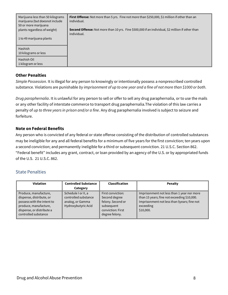| Marijuana less than 50 kilograms<br>marijuana (but doesnot include<br>50 or more marijuana | <b>First Offense:</b> Not more than 5 yrs. Fine not more than \$250,000, \$1 million if other than an<br>individual.   |
|--------------------------------------------------------------------------------------------|------------------------------------------------------------------------------------------------------------------------|
| plants regardless of weight)                                                               | <b>Second Offense:</b> Not more than 10 yrs. Fine \$500,000 if an individual, \$2 million if other than<br>individual. |
| 1 to 49 marijuana plants                                                                   |                                                                                                                        |
| Hashish<br>10 kilograms or less                                                            |                                                                                                                        |
| Hashish Oil<br>1 kilogram or less                                                          |                                                                                                                        |

#### **Other Penalties**

*Simple Possession.* It is illegal for any person to knowingly or intentionally possess a nonprescribed controlled substance. Violations are punishable *by imprisonment of up to one year and a fine of not more than \$1000 or both*.

*Drug paraphernalia*. It is unlawful for any person to sell or offer to sell any drug paraphernalia, or to use the mails or any other facility of interstate commerce to transport drug paraphernalia.The violation of this law carries a penalty of *up to three years in prison and/or a fine*. Any drug paraphernalia involved is subject to seizure and forfeiture.

#### **Note on Federal Benefits**

Any person who is convicted of any federal or state offense consisting of the distribution of controlled substances may be ineligible for any and all federal benefits for a minimum of five years for the first conviction; ten years upon a second conviction; and permanently ineligible for a third or subsequent conviction. 21 U.S.C. Section 862. "Federal benefit" includes any grant, contract, or loan provided by an agency of the U.S. or by appropriated funds of the U.S. 21 U.S.C. 862.

#### <span id="page-7-0"></span>State Penalties

| <b>Violation</b>                                                                                                                                              | <b>Controlled Substance</b><br>Category                                                | <b>Classification</b>                                                                                        | Penalty                                                                                                                                                            |
|---------------------------------------------------------------------------------------------------------------------------------------------------------------|----------------------------------------------------------------------------------------|--------------------------------------------------------------------------------------------------------------|--------------------------------------------------------------------------------------------------------------------------------------------------------------------|
| Produce, manufacture,<br>dispense, distribute, or<br>possess with the intent to<br>produce, manufacture,<br>dispense, or distribute a<br>controlled substance | Schedule I or II, a<br>controlled substance<br>analog, or Gamma<br>Hydroxybutyric Acid | First conviction:<br>Second degree<br>felony. Second or<br>subsequent<br>conviction: First<br>degree felony. | Imprisonment not less than 1 year nor more<br>than 15 years; fine not exceeding \$10,000.<br>Imprisonment not less than 5years; fine not<br>exceeding<br>\$10,000. |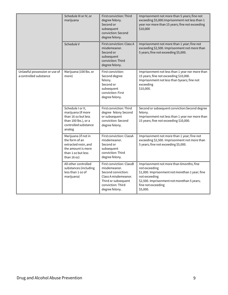<span id="page-8-0"></span>

|                                                         | Schedule III or IV, or<br>marijuana                                                                                       | First conviction: Third<br>degree felony.<br>Second or<br>subsequent<br>conviction: Second<br>degree felony.                                         | Imprisonment not more than 5 years; fine not<br>exceeding \$5,000. Imprisonment not less than 1<br>year nor more than 15 years; fine not exceeding<br>\$10,000                                                 |
|---------------------------------------------------------|---------------------------------------------------------------------------------------------------------------------------|------------------------------------------------------------------------------------------------------------------------------------------------------|----------------------------------------------------------------------------------------------------------------------------------------------------------------------------------------------------------------|
|                                                         | Schedule V                                                                                                                | First conviction: Class A<br>misdemeanor.<br>Second or<br>subsequent<br>conviction: Third<br>degree felony.                                          | Imprisonment not more than 1 year; fine not<br>exceeding \$2,500. Imprisonment not more than<br>5 years; fine not exceeding \$5,000.                                                                           |
| Unlawful possession or use of<br>a controlled substance | Marijuana (100 lbs. or<br>more)                                                                                           | First conviction:<br>Second degree<br>felony.<br>Second or<br>subsequent<br>conviction: First<br>degree felony.                                      | Imprisonment not less than 1 year nor more than<br>15 years; fine not exceeding \$10,000.<br>Imprisonment not less than 5years; fine not<br>exceeding<br>\$10,000.                                             |
|                                                         | Schedule I or II,<br>marijuana (if more<br>than 16 oz but less<br>than 100 lbs.), or a<br>controlled substance<br>analog  | First conviction: Third<br>degree felony Second<br>or subsequent<br>conviction: Second<br>degree felony.                                             | Second or subsequent conviction: Second degree<br>felony.<br>Imprisonment not less than 1 year nor more than<br>15 years; fine not exceeding \$10,000.                                                         |
|                                                         | Marijuana (if not in<br>the form of an<br>extracted resin, and<br>the amount is more<br>than 1 oz but less<br>than 16 oz) | First conviction: ClassA<br>misdemeanor.<br>Second or<br>subsequent<br>conviction: Third<br>degree felony.                                           | Imprisonment not more than 1 year; fine not<br>exceeding \$2,500. Imprisonment not more than<br>5 years; fine not exceeding \$5,000.                                                                           |
|                                                         | All other controlled<br>substances (including<br>less than 1 oz of<br>marijuana)                                          | First conviction: ClassB<br>misdemeanor.<br>Second conviction:<br>Class A misdemeanor.<br>Third or subsequent<br>conviction: Third<br>degree felony. | Imprisonment not more than 6months; fine<br>not exceeding<br>\$1,000. Imprisonment not morethan 1 year; fine<br>not exceeding<br>\$2,500. Imprisonment not morethan 5 years;<br>fine not exceeding<br>\$5,000. |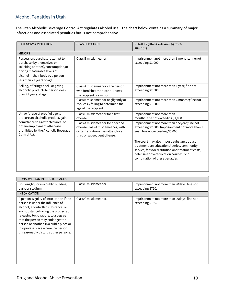## Alcohol Penalties in Utah

The Utah Alcoholic Beverage Control Act regulates alcohol use. The chart below contains a summary of major infractions and associated penalties but is not comprehensive.

| <b>CATEGORY &amp; VIOLATION</b>                                                                                                                                                                          | <b>CLASSIFICATION</b>                                                                                                                        | PENALTY (Utah Code Ann. §§ 76-3-<br>204, 301)                                                                                                                                                                                |
|----------------------------------------------------------------------------------------------------------------------------------------------------------------------------------------------------------|----------------------------------------------------------------------------------------------------------------------------------------------|------------------------------------------------------------------------------------------------------------------------------------------------------------------------------------------------------------------------------|
| <b>MINORS</b>                                                                                                                                                                                            |                                                                                                                                              |                                                                                                                                                                                                                              |
| Possession, purchase, attempt to<br>purchase (by themselves or<br>soliciting another), consumption, or<br>having measurable levels of<br>alcohol in their body by a person<br>less than 21 years of age. | Class B misdemeanor.                                                                                                                         | Imprisonment not more than 6 months; fine not<br>exceeding \$1,000.                                                                                                                                                          |
| Selling, offering to sell, or giving<br>alcoholic products to persons less<br>than 21 years of age.                                                                                                      | Class A misdemeanor if the person<br>who furnishes the alcohol knows<br>the recipient is a minor.                                            | Imprisonment not more than 1 year; fine not<br>exceeding \$2,500.                                                                                                                                                            |
|                                                                                                                                                                                                          | Class B misdemeanor negligently or<br>recklessly failing to determine the<br>age of the recipient.                                           | Imprisonment not more than 6 months; fine not<br>exceeding \$1,000.                                                                                                                                                          |
| Unlawful use of proof of age to<br>procure an alcoholic product, gain<br>admittance to a restricted area, or<br>obtain employment otherwise<br>prohibited by the Alcoholic Beverage<br>Control Act.      | Class B misdemeanor for a first<br>offense.                                                                                                  | Imprisonment not more than 6<br>months; fine not exceeding \$1,000.                                                                                                                                                          |
|                                                                                                                                                                                                          | Class A misdemeanor for a second<br>offense Class A misdemeanor, with<br>certain additional penalties, for a<br>third or subsequent offense. | Imprisonment not more than oneyear; fine not<br>exceeding \$2,500. Imprisonment not more than 1<br>year; fine not exceeding \$5,000.                                                                                         |
|                                                                                                                                                                                                          |                                                                                                                                              | The court may also impose substance abuse<br>treatment, an educational series, community<br>service, fees for restitution and treatment costs,<br>defensive drivereducation courses, or a<br>combination of these penalties. |

| <b>CONSUMPTION IN PUBLIC PLACES</b>                                                                                                                                                                                                                                                                                                                               |                      |                                                                  |  |
|-------------------------------------------------------------------------------------------------------------------------------------------------------------------------------------------------------------------------------------------------------------------------------------------------------------------------------------------------------------------|----------------------|------------------------------------------------------------------|--|
| Drinking liquor in a public building,<br>park, or stadium.                                                                                                                                                                                                                                                                                                        | Class C misdemeanor. | Imprisonment not more than 90 days; fine not<br>exceeding \$750. |  |
| <b>INTOXICATION</b>                                                                                                                                                                                                                                                                                                                                               |                      |                                                                  |  |
| A person is guilty of intoxication if the<br>person is under the influence of<br>alcohol, a controlled substance, or<br>any substance having the property of<br>releasing toxic vapors, to a degree<br>that the person may endanger the<br>person or another, in a public place or<br>in a private place where the person<br>unreasonably disturbs other persons. | Class C misdemeanor. | Imprisonment not more than 90 days; fine not<br>exceeding \$750. |  |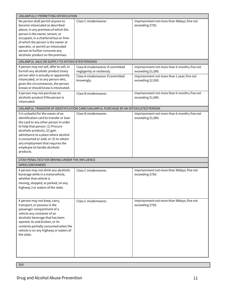| UNLAWFULLY PERMITTING INTOXICATION                                                                                                                                                                                                                                                                                                                          |                                                                                                                  |                                                                                                                                          |  |  |
|-------------------------------------------------------------------------------------------------------------------------------------------------------------------------------------------------------------------------------------------------------------------------------------------------------------------------------------------------------------|------------------------------------------------------------------------------------------------------------------|------------------------------------------------------------------------------------------------------------------------------------------|--|--|
| No person shall permit anyone to<br>become intoxicated as described<br>above, in any premises of which the<br>person is the owner, tenant, or<br>occupant, in a chartered bus or limo<br>of which the person is the owner or<br>operator, or permit an intoxicated<br>person to further consume any<br>alcoholic product on the premises.                   | Class C misdemeanor.                                                                                             | Imprisonment not more than 90days; fine not<br>exceeding \$750.                                                                          |  |  |
| UNLAWFUL SALE OR SUPPLY TO INTOXICATED PERSONS                                                                                                                                                                                                                                                                                                              |                                                                                                                  |                                                                                                                                          |  |  |
| A person may not sell, offer to sell, or<br>furnish any alcoholic product toany<br>person who is actually or apparently<br>intoxicated, or to any person who,<br>given the circumstances, the person<br>knows or should know is intoxicated.                                                                                                                | Class B misdemeanor if committed<br>negligently or recklessly.<br>Class A misdemeanor if committed<br>knowingly. | Imprisonment not more than 6 months; fine not<br>exceeding \$1,000.<br>Imprisonment not more than 1 year; fine not<br>exceeding \$2,500. |  |  |
| A person may not purchase an<br>alcoholic product if the person is<br>intoxicated.                                                                                                                                                                                                                                                                          | Class B misdemeanor.                                                                                             | Imprisonment not more than 6 months; fine not<br>exceeding \$1,000.                                                                      |  |  |
|                                                                                                                                                                                                                                                                                                                                                             | UNLAWFUL TRANSFER OF IDENTIFICATION CARD/UNLAWFUL PURCHASE BY AN INTOXICATED PERSON                              |                                                                                                                                          |  |  |
| It is unlawful for the owner of an<br>identification card to transfer or loan<br>the card to any other person in order<br>to help that person: (1) Procure<br>alcoholic products, (2) gain<br>admittance to a place where alcohol<br>is consumed or sold, or (3) to obtain<br>any employment that requires the<br>employee to handle alcoholic<br>products. | Class B misdemeanor.                                                                                             | Imprisonment not more than 6 months; fine not<br>exceeding \$1,000.                                                                      |  |  |
| UTAH PENALTIES FOR DRIVING UNDER THE INFLUENCE                                                                                                                                                                                                                                                                                                              |                                                                                                                  |                                                                                                                                          |  |  |
| <b>OPEN CONTAINERS</b>                                                                                                                                                                                                                                                                                                                                      |                                                                                                                  |                                                                                                                                          |  |  |
| A person may not drink any alcoholic<br>beverage while in a motorvehicle,<br>whether that vehicle is<br>moving, stopped, or parked, on any<br>highway 2 or waters of the state.                                                                                                                                                                             | Class C misdemeanor.                                                                                             | Imprisonment not more than 90days; fine not<br>exceeding \$750.                                                                          |  |  |
| A person may not keep, carry,<br>transport, or possess in the<br>passenger compartment of a<br>vehicle any container of an<br>alcoholic beverage that has been<br>opened, its seal broken, or its<br>contents partially consumed when the<br>vehicle is on any highway or waters of<br>the state.                                                           | Class C misdemeanor.                                                                                             | Imprisonment not more than 90days; fine not<br>exceeding \$750.                                                                          |  |  |

DUI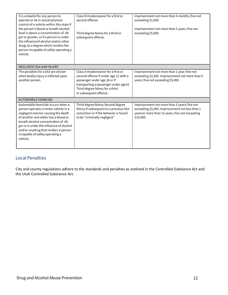| It is unlawful for any person to<br>operate or be in actual physical<br>control of a vehicle within this state if<br>the person's blood or breath alcohol<br>level is above a concentration of .08<br>gm or greater, or if a person is under<br>the influence of alcohol and/or other<br>drugs to a degree which renders the<br>person incapable of safely operating a<br>vehicle. | Class B misdemeanor for a first or<br>second offense.<br>Third degree felony for a third or<br>subsequent offense.                                                                                               | Imprisonment not more than 6 months; fine not<br>exceeding \$1,000.<br>Imprisonment not more than 5 years; fine not<br>exceeding \$5,000.                      |
|------------------------------------------------------------------------------------------------------------------------------------------------------------------------------------------------------------------------------------------------------------------------------------------------------------------------------------------------------------------------------------|------------------------------------------------------------------------------------------------------------------------------------------------------------------------------------------------------------------|----------------------------------------------------------------------------------------------------------------------------------------------------------------|
| NEGLIGENT DUI with INJURY                                                                                                                                                                                                                                                                                                                                                          |                                                                                                                                                                                                                  |                                                                                                                                                                |
| The penalties for a DUI are stricter<br>when bodily injury is inflicted upon<br>another person.                                                                                                                                                                                                                                                                                    | Class A misdemeanor for a first or<br>second offense if under age 21 with a<br>passenger under age 18 or if<br>transporting a passenger under age16<br>Third degree felony for a third<br>or subsequent offense. | Imprisonment not more than 1 year; fine not<br>exceeding \$2,500. Imprisonment not more than 5<br>years; fine not exceeding \$5,000.                           |
| <b>AUTOMOBILE HOMICIDE</b>                                                                                                                                                                                                                                                                                                                                                         |                                                                                                                                                                                                                  |                                                                                                                                                                |
| Automobile homicide occurs when a<br>person operates a motor vehicle in a<br>negligent manner causing the death<br>of another and either has a blood or<br>breath alcohol concentration of .08<br>gm or is under the influence of alcohol<br>and/or anydrug that renders a person<br>incapable of safely operating a<br>vehicle.                                                   | Third degree felony Second degree<br>felony if subsequent to a previous DUI<br>conviction or if the behavior is found<br>to be "criminally negligent"                                                            | Imprisonment not more than 5 years; fine not<br>exceeding \$5,000. Imprisonment not less than 1<br>yearnor more than 15 years; fine not exceeding<br>\$10,000. |

#### <span id="page-11-0"></span>Local Penalties

City and county regulations adhere to the standards and penalties as outlined in the Controlled Substance Act and the Utah Controlled Substance Act.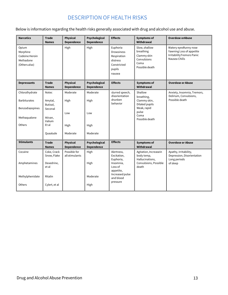# DESCRIPTION OF HEALTH RISKS

<span id="page-12-0"></span>Below is information regarding the health risks generally associated with drug and alcohol use and abuse.

| <b>Narcotics</b>                                                  | <b>Trade</b><br><b>Names</b> | <b>Physical</b><br><b>Dependence</b> | Psychological<br><b>Dependence</b> | <b>Effects</b>                                                                              | <b>Symptoms of</b><br>Withdrawal                                                   | <b>Overdose orAbuse</b>                                                                         |
|-------------------------------------------------------------------|------------------------------|--------------------------------------|------------------------------------|---------------------------------------------------------------------------------------------|------------------------------------------------------------------------------------|-------------------------------------------------------------------------------------------------|
| Opium<br>Morphine<br>Codeine Heroin<br>Methadone<br>(Others also) |                              | High                                 | High                               | Euphoria<br><b>Drowsiness</b><br>Respiration<br>distress<br>Constricted<br>pupils<br>nausea | Slow, shallow<br>breathing<br>Clammy skin<br>Convulsions<br>Coma<br>Possible death | Watery eyesRunny nose<br>Yawning Loss of appetite<br>IrritabilityTremors Panic<br>Nausea Chills |
| <b>Depressants</b>                                                | <b>Trade</b><br><b>Names</b> | Physical<br><b>Dependence</b>        | Psychological<br><b>Dependence</b> | <b>Effects</b>                                                                              | <b>Symptoms of</b><br>Withdrawal                                                   | <b>Overdose or Abuse</b>                                                                        |
| Chloralhydrate<br><b>Barbiturates</b>                             | Notec<br>Amytal,             | Moderate<br>High                     | Moderate<br>High                   | slurred speech,<br>disorientation<br>drunken                                                | Shallow<br>breathing,<br>Clammy skin,                                              | Anxiety, Insomnia, Tremors,<br>Delirium, Convulsions,<br>Possible death                         |
| Benzodiazepines                                                   | Butisol,<br>Seconal          |                                      |                                    | behavior                                                                                    | Dilated pupils<br>Weak, rapid<br>pulse                                             |                                                                                                 |
| Methaqualone                                                      | Ativan,<br>Valium            | Low                                  | Low                                |                                                                                             | Coma<br>Possible death                                                             |                                                                                                 |
| Others                                                            | Et al                        | High                                 | High                               |                                                                                             |                                                                                    |                                                                                                 |
|                                                                   | Quaalude                     | Moderate                             | Moderate                           |                                                                                             |                                                                                    |                                                                                                 |
| <b>Stimulants</b>                                                 | <b>Trade</b><br><b>Names</b> | <b>Physical</b><br><b>Dependence</b> | Psychological<br><b>Dependence</b> | <b>Effects</b>                                                                              | <b>Symptoms of</b><br>Withdrawal                                                   | <b>Overdose or Abuse</b>                                                                        |
| Cocaine                                                           | Coke, Crack<br>Snow, Flake   | Possible for<br>all stimulants       | High                               | Alertness,<br>Excitation,<br>Euphoria,                                                      | Agitation, Increasein<br>body temp,<br>Hallucinations,                             | Apathy, Irritability,<br>Depression, Disorientation<br>Long periods                             |
| Amphetamines                                                      | Dexedrine,<br>et al          |                                      | High                               | Insomnia,<br>Loss of<br>appetite,                                                           | Convulsions, Possible<br>death                                                     | of sleep                                                                                        |
| Methylphenidate                                                   | Ritalin                      |                                      | Moderate                           | Increased pulse<br>and blood                                                                |                                                                                    |                                                                                                 |
| Others                                                            | Cylert, et al                |                                      | High                               | pressure                                                                                    |                                                                                    |                                                                                                 |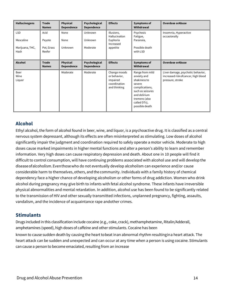| <b>Hallucinogens</b>    | <b>Trade</b><br><b>Names</b> | <b>Physical</b><br><b>Dependence</b> | Psychological<br><b>Dependence</b> | <b>Effects</b>                                                           | Symptoms of<br>Withdrawal                                                                                                                                         | <b>Overdose or Abuse</b>                                                                      |
|-------------------------|------------------------------|--------------------------------------|------------------------------------|--------------------------------------------------------------------------|-------------------------------------------------------------------------------------------------------------------------------------------------------------------|-----------------------------------------------------------------------------------------------|
| <b>LSD</b>              | Acid                         | None                                 | Unknown                            | Illusions,<br>Hallucination                                              | Psychosis<br>Fatigue,                                                                                                                                             | Insomnia, Hyperactive<br>occasionally                                                         |
| Mescaline               | Peyote                       | None                                 | Unknown                            | Euphoria<br>Increased                                                    | Paranoia,                                                                                                                                                         |                                                                                               |
| Marijuana, THC,<br>Hash | Pot, Grass<br>Reefer         | Unknown                              | Moderate                           | appetite                                                                 | Possible death<br>with LSD                                                                                                                                        |                                                                                               |
| <b>Alcohol</b>          | <b>Trade</b><br><b>Names</b> | <b>Physical</b><br><b>Dependence</b> | Psychological<br><b>Dependence</b> | <b>Effects</b>                                                           | Symptoms of<br>Withdrawal                                                                                                                                         | <b>Overdose or Abuse</b>                                                                      |
| Beer<br>Wine<br>Liquor  |                              | Moderate                             | Moderate                           | Change moods<br>or behavior,<br>impaired<br>coordination<br>and thinking | Range from mild<br>anxiety and<br>shakiness to<br>severe<br>complications,<br>such as seizures<br>and delirium<br>tremens (also<br>called DTs),<br>possible death | Liver damage, psychotic behavior,<br>increased risk of cancer, high blood<br>pressure, stroke |

## **Alcohol**

Ethyl alcohol, the form of alcohol found in beer, wine, and liquor, is a psychoactive drug. It is classified as a central nervous system depressant, although its effects are often misinterpreted as stimulating. Low doses of alcohol significantly impair the judgment and coordination required to safely operate a motor vehicle. Moderate to high doses cause marked impairments in higher mental functions and alter a person's ability to learn and remember information. Very high doses can cause respiratory depression and death. About one in 10 people will find it difficult to control consumption, will have continuing problems associated with alcohol use and will develop the diseaseofalcoholism.Eventhosewho do not eventually develop alcoholism can experience and/or cause considerable harm to themselves, others, andthecommunity. Individuals with a family history of chemical dependency face a higher chance of developing alcoholism or other forms of drug addiction. Women who drink alcohol during pregnancy may give birth to infants with fetal alcohol syndrome. These infants have irreversible physical abnormalities and mental retardation. In addition, alcohol use has been found to be significantly related to the transmission of HIV and other sexually transmitted infections, unplanned pregnancy, fighting, assaults, vandalism, and the incidence of acquaintance rape andother crimes.

## **Stimulants**

Drugs included in this classification include cocaine (e.g., coke, crack), methamphetamine, Ritalin/Adderall, amphetamines (speed), high doses of caffeine and other stimulants. Cocaine has been known to cause sudden death by causing the heart tobeat inan abnormal rhythm resultingina heart attack. The heart attack can be sudden and unexpected and can occur at any time when a person is using cocaine. Stimulants can cause a person to become emaciated, resulting from an increase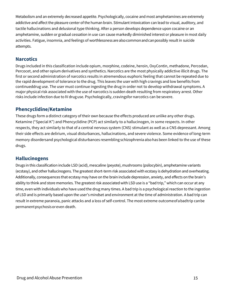Metabolism and an extremely decreased appetite. Psychologically, cocaine and most amphetamines are extremely addictive and affect the pleasure center of the human brain. Stimulant intoxication can lead to visual, auditory, and tactile hallucinations and delusional type thinking. After a person develops dependence upon cocaine or an amphetamine, sudden or gradual cessation in use can cause markedly diminished interest or pleasure in most daily activities. Fatigue, insomnia, and feelings of worthlessnessarealsocommonandcanpossibly result in suicide attempts.

#### **Narcotics**

Drugs included in this classification include opium, morphine, codeine, heroin, OxyContin, methadone, Percodan, Percocet, and other opium derivatives and synthetics. Narcotics are the most physically addictive illicit drugs. The first or second administration of narcotics results in atremendous euphoric feeling that cannot be repeated due to the rapid development of tolerance to the drug. This leaves the user with high cravings and low benefits from continueddrug use. The user must continue ingesting the drug in order not to develop withdrawal symptoms. A major physical risk associated with the use of narcotics is sudden death resulting from respiratory arrest. Other risks include infection due to IV druguse. Psychologically, cravingsfor narcotics can be severe.

### **Phencyclidine/Ketamine**

These drugs form a distinct category of their own because the effects produced are unlike any other drugs. Ketamine ("Special K") and Phencyclidine (PCP) act similarly to a hallucinogen, in some respects. In other respects, they act similarly to that of a central nervous system (CNS) stimulant as well as a CNS depressant. Among their side effects are delirium, visual disturbances, hallucinations, and severe violence. Some evidence of long-term memory disordersand psychological disturbances resembling schizophrenia alsohas been linked to the use of these drugs.

#### **Hallucinogens**

Drugs in this classification include LSD (acid), mescaline (peyote), mushrooms (psilocybin), amphetamine variants (ecstasy), and other hallucinogens. The greatest short-term risk associated with ecstasy is dehydration and overheating. Additionally, consequences that ecstasy may have on the brain include depression, anxiety, and effects on the brain's ability to think and store memories. The greatest risk associated with LSD use is a "bad trip," which can occur at any time, even with individuals who have used the drug many times. A bad trip is a psychological reaction to the ingestion of LSD and is primarily based upon the user's mindset and environment at the time of administration. A bad trip can result in extreme paranoia, panic attacks and a loss of self-control. The most extreme outcomeofabadtrip canbe permanent psychosis or even death.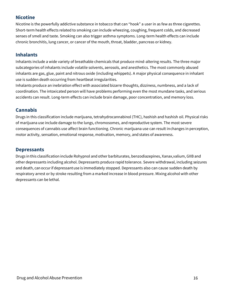# **Nicotine**

Nicotine is the powerfully addictive substance in tobacco that can "hook" a user in as few as three cigarettes. Short-term health effects related to smoking can include wheezing, coughing, frequent colds, and decreased senses of smell and taste. Smoking can also trigger asthma symptoms. Long-term health effects can include chronic bronchitis, lung cancer, or cancer of the mouth, throat, bladder, pancreas or kidney.

## **Inhalants**

Inhalants include a wide variety of breathable chemicals that produce mind-altering results. The three major subcategories of inhalants include volatile solvents, aerosols, and anesthetics. The most commonly abused inhalants are gas, glue, paint and nitrous oxide (including whippets). A major physical consequence in inhalant use is sudden death occurring from heartbeat irregularities.

Inhalants produce an inebriation effect with associated bizarre thoughts, dizziness, numbness, and a lack of coordination. The intoxicated person will have problems performing even the most mundane tasks, and serious accidents can result. Long-term effects can include brain damage, poor concentration, and memory loss.

### **Cannabis**

Drugs in this classification include marijuana, tetrahydrocannabinol (THC), hashish and hashish oil. Physical risks of marijuana use include damage to the lungs, chromosomes, and reproductive system. The most severe consequences of cannabis use affect brain functioning. Chronic marijuana use can result inchanges in perception, motor activity, sensation, emotional response, motivation, memory, and states of awareness.

#### **Depressants**

Drugs in this classification include Rohypnol and other barbiturates, benzodiazepines, Xanax,valium, GIIB and other depressants including alcohol. Depressants produce rapid tolerance. Severe withdrawal, including seizures and death, canoccurif depressantuse is immediately stopped. Depressants also can cause sudden death by respiratory arrest or by stroke resulting from a marked increase in blood pressure. Mixing alcohol with other depressants can be lethal.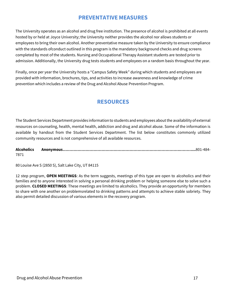# **PREVENTATIVE MEASURES**

<span id="page-16-0"></span>The University operates as an alcohol and drug free institution. The presence of alcohol is prohibited at all events hosted by or held at Joyce University; the University neither provides the alcohol nor allows students or employees to bring their own alcohol. Another preventative measure taken by the University to ensure compliance with the standards ofconduct outlined in this program is the mandatory background checks and drug screens completed by most of the students. Nursing and Occupational Therapy Assistant students are tested prior to admission. Additionally, the University drug tests students and employees on a random basis throughout the year.

Finally, once per year the University hosts a "Campus Safety Week" during which students and employees are provided with information, brochures, tips, and activities to increase awareness and knowledge of crime prevention which includes a review of the Drug and Alcohol Abuse Prevention Program.

# **RESOURCES**

<span id="page-16-1"></span>The Student Services Department provides information to students and employees about the availability of external resources on counseling, health, mental health, addiction and drug and alcohol abuse. Some of the information is available by handout from the Student Services Department. The list below constitutes commonly utilized community resources and is not comprehensive of all available resources.

**Alcoholics Anonymousѹѹѹѹѹѹѹѹѹѹѹѹѹѹѹѹѹѹѹѹѹѹѹѹѹѹѹѹѹѵѹѹѹѵѵѵ**801-484- 7871

80 Louise Ave S (2850 S), Salt Lake City, UT 84115

12 step program, **OPEN MEETINGS**: As the term suggests, meetings of this type are open to alcoholics and their families and to anyone interested in solving a personal drinking problem or helping someone else to solve such a problem. **CLOSED MEETINGS**: These meetings are limited to alcoholics. They provide an opportunity for members to share with one another on problemsrelated to drinking patterns and attempts to achieve stable sobriety. They also permit detailed discussion of various elements in the recovery program.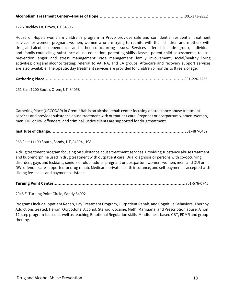| Alcoholism Treatment Center—House of Hope………………………………………………………………801-373-9222 |
|-------------------------------------------------------------------------------|
|                                                                               |

1726 Buckley Ln, Provo, UT 84606

House of Hope's women & children's program in Provo provides safe and confidential residential treatment services for women, pregnant women, women who are trying to reunite with their children and mothers with drug and alcohol dependence and other co-occurring issues. Services offered include group, individual, and family counseling; substance abuse education; parenting skills classes; parent-child assessments; relapse prevention; anger and stress management; case management; family involvement; social/healthy living activities; drug and alcohol testing; referral to AA, NA, and CA groups. Aftercare and recovery support services are also available. Therapeutic day treatment services are provided for children 6 months to 8 years of age.

**Gathering Placeѹѹѹѹѹѹѹѹѹѹѹѹѹѹѹѹѹѹѹѹѹѹѹѹѹѹѹѹѹѹѹѹѹѹѹ**801-226-2255

251 East 1200 South, Orem, UT 84058

Gathering Place (UCCODAR) in Orem, Utah is an alcohol rehab center focusing on substance abuse treatment services and provides substance abuse treatment with outpatient care. Pregnant or postpartum women, women, men, DUI or DWI offenders, and criminal justice clients are supported for drug treatment.

#### **Institute of Changeѹѹѹѹѹѹѹѹѹѹѹѹѹѵѵѹѹѹѹѹѹѹѹѹѹѹѹѹѹѹѹѹѹѹѹ**801-487-0487

958 East 11190 South, Sandy, UT, 84094, USA

A drug treatment program focusing on substance abuse treatment services. Providing substance abuse treatment and buprenorphine used in drug treatment with outpatient care. Dual diagnosis or persons with co-occurring disorders, gays and lesbians, seniors or older adults, pregnant or postpartum women, women, men, and DUI or DWI offenders are supported for drug rehab. Medicare, private health insurance, and self-payment is accepted with sliding fee scales and payment assistance.

**Turning Point Cente-ѹѹѹѹѹѹѹѹѹѹѹѹѹѹѹѹѹѹѹѹѹѹѹѹѹѹѹѹѹѹѹѹѹ**801-576-0745

2945 E. Turning Point Circle, Sandy 84092

Programs include Inpatient Rehab, Day Treatment Program, Outpatient Rehab, and Cognitive Behavioral Therapy. Addictions treated; Heroin, Oxycodone, Alcohol, Steroid, Cocaine, Meth, Marijuana, and Prescription abuse. A non 12-step program is used as well as teaching Emotional Regulation skills, Mindfulness based CBT, EDMR and group therapy.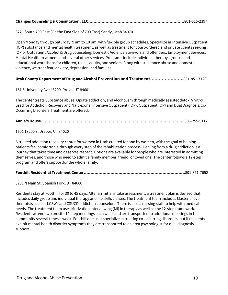|--|--|--|--|

8221 South 700 East (On the East Side of 700 East) Sandy, Utah 84070

Open Monday through Saturday, 9 am to 10 pm, with flexible group schedules. Specialize in Intensive Outpatient (IOP) substance and mental health treatment, as well as treatment for court-ordered and private clients seeking IOP or Outpatient Alcohol & Drug counseling, Domestic Violence Survivors and offenders, Employment Services, Mental Health treatment, and several other services. Programs include individual therapy, groups, and educational workshops for children, teens, adults, and seniors. Along with substance abuse and domestic violence, we treat fear, anxiety, depression, and families.

#### **Utah County Department of Drug and Alcohol Prevention and Treatment........................801-851-7128**

#### 151 S University Ave #3200, Provo, UT 84601

The center treats Substance abuse, Opiate addiction, and Alcoholism through medically assisted detox, Vivitrol used for Addiction Recovery and Naltrexone. Intensive Outpatient (IOP), Outpatient (OP) and Dual Diagnosis/Co-Occurring Disorders Treatment are offered.

**Annie's Houseѹѹѹѹѹѹѹѹѹѹѹѹѹѹѹѹѹѹѹѹѹѹѹѹѹѹѹѹѹѹѹѹѹѹѹѵѵѵ**385-255-9117

#### 1601 13200 S, Draper, UT 84020

A trusted addiction recovery center for women in Utah created for and by women, with the goal of helping patients feel comfortable through every step of the rehabilitation process. Healing from a drug addiction is a journey that takes time and deserves respect. Options are available for people who are interested in admitting themselves, and those who need to admit a family member, friend, or loved one. The center follows a 12-step program and offers support for the whole family.

|--|--|

3281 N Main St, Spanish Fork, UT 84660

Residents stay at Foothill for 30 to 45 days. After an initial intake assessment, a treatment plan is devised that includes daily [group](http://rehabreviews.com/group-therapy/) and [individual therapy an](http://rehabreviews.com/individual-therapy/)d life skills classes. The treatment team includes Master's-level therapists such as LCSWs and CSUCD addiction counselors. There is also a nursing staff to help with medical needs. The treatment team uses Motivation Interviewing (MI) in therapy as well as the 12-step framework. Residents attend two on-site 12-step meetings each week and are transported to additional meetings in the community several times a week. Foothill does not specialize in treating co-occurring disorders, but if residents exhibit mental health disorder symptoms they are transported to an area psychologist for dual diagnosis support.